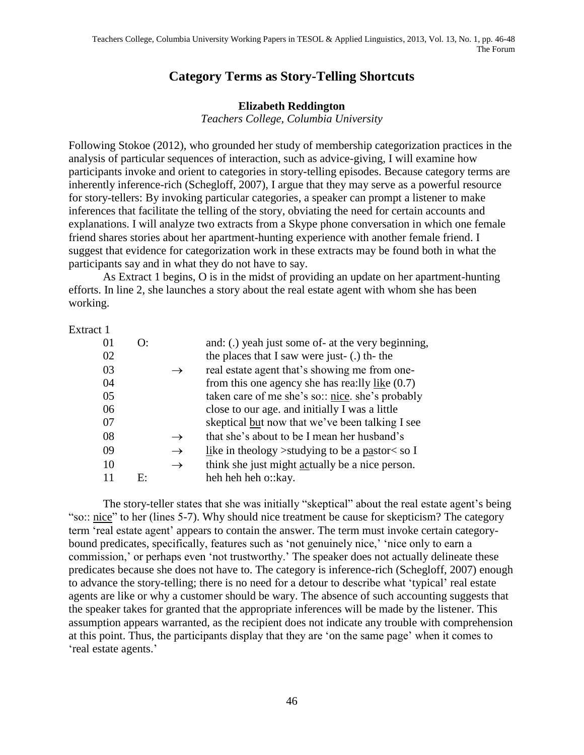## **Category Terms as Story-Telling Shortcuts**

## **Elizabeth Reddington**

*Teachers College, Columbia University*

Following Stokoe (2012), who grounded her study of membership categorization practices in the analysis of particular sequences of interaction, such as advice-giving, I will examine how participants invoke and orient to categories in story-telling episodes. Because category terms are inherently inference-rich (Schegloff, 2007), I argue that they may serve as a powerful resource for story-tellers: By invoking particular categories, a speaker can prompt a listener to make inferences that facilitate the telling of the story, obviating the need for certain accounts and explanations. I will analyze two extracts from a Skype phone conversation in which one female friend shares stories about her apartment-hunting experience with another female friend. I suggest that evidence for categorization work in these extracts may be found both in what the participants say and in what they do not have to say.

As Extract 1 begins, O is in the midst of providing an update on her apartment-hunting efforts. In line 2, she launches a story about the real estate agent with whom she has been working.

Extract 1

| $\Omega$ |    |               | and: (.) yeah just some of- at the very beginning,        |
|----------|----|---------------|-----------------------------------------------------------|
| 02       |    |               | the places that I saw were just- (.) th- the              |
| 03       |    | $\rightarrow$ | real estate agent that's showing me from one-             |
| 04       |    |               | from this one agency she has rea: lly $\frac{$ like (0.7) |
| 05       |    |               | taken care of me she's so: nice. she's probably           |
| 06       |    |               | close to our age. and initially I was a little            |
| 07       |    |               | skeptical but now that we've been talking I see           |
| 08       |    | $\rightarrow$ | that she's about to be I mean her husband's               |
| 09       |    | $\rightarrow$ | like in theology > studying to be a pastor $\lt$ so I     |
| 10       |    | $\rightarrow$ | think she just might actually be a nice person.           |
| -11      | F۰ |               | heh heh heh o:: kay.                                      |
|          |    |               |                                                           |

The story-teller states that she was initially "skeptical" about the real estate agent's being "so:: nice" to her (lines 5-7). Why should nice treatment be cause for skepticism? The category term 'real estate agent' appears to contain the answer. The term must invoke certain categorybound predicates, specifically, features such as 'not genuinely nice,' 'nice only to earn a commission,' or perhaps even 'not trustworthy.' The speaker does not actually delineate these predicates because she does not have to. The category is inference-rich (Schegloff, 2007) enough to advance the story-telling; there is no need for a detour to describe what 'typical' real estate agents are like or why a customer should be wary. The absence of such accounting suggests that the speaker takes for granted that the appropriate inferences will be made by the listener. This assumption appears warranted, as the recipient does not indicate any trouble with comprehension at this point. Thus, the participants display that they are 'on the same page' when it comes to 'real estate agents.'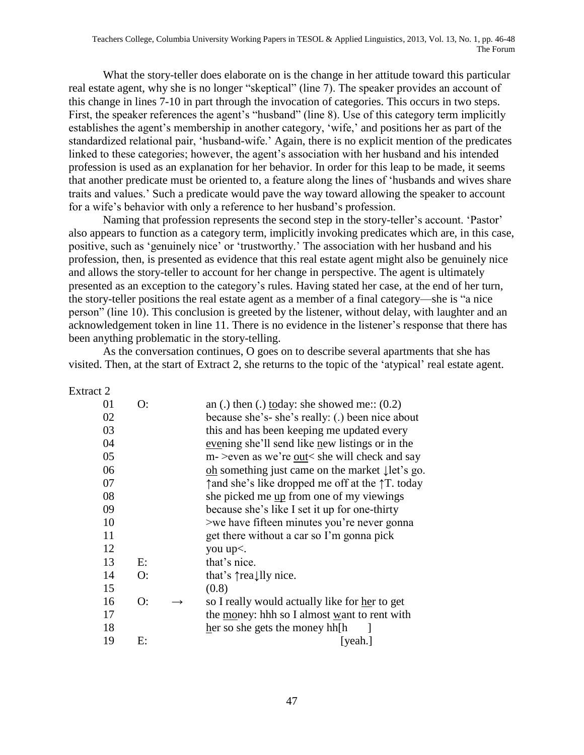What the story-teller does elaborate on is the change in her attitude toward this particular real estate agent, why she is no longer "skeptical" (line 7). The speaker provides an account of this change in lines 7-10 in part through the invocation of categories. This occurs in two steps. First, the speaker references the agent's "husband" (line 8). Use of this category term implicitly establishes the agent's membership in another category, 'wife,' and positions her as part of the standardized relational pair, 'husband-wife.' Again, there is no explicit mention of the predicates linked to these categories; however, the agent's association with her husband and his intended profession is used as an explanation for her behavior. In order for this leap to be made, it seems that another predicate must be oriented to, a feature along the lines of 'husbands and wives share traits and values.' Such a predicate would pave the way toward allowing the speaker to account for a wife's behavior with only a reference to her husband's profession.

Naming that profession represents the second step in the story-teller's account. 'Pastor' also appears to function as a category term, implicitly invoking predicates which are, in this case, positive, such as 'genuinely nice' or 'trustworthy.' The association with her husband and his profession, then, is presented as evidence that this real estate agent might also be genuinely nice and allows the story-teller to account for her change in perspective. The agent is ultimately presented as an exception to the category's rules. Having stated her case, at the end of her turn, the story-teller positions the real estate agent as a member of a final category—she is "a nice person" (line 10). This conclusion is greeted by the listener, without delay, with laughter and an acknowledgement token in line 11. There is no evidence in the listener's response that there has been anything problematic in the story-telling.

As the conversation continues, O goes on to describe several apartments that she has visited. Then, at the start of Extract 2, she returns to the topic of the 'atypical' real estate agent.

Extract 2

| 01 | O: |                   | an (.) then (.) today: she showed me:: $(0.2)$              |
|----|----|-------------------|-------------------------------------------------------------|
| 02 |    |                   | because she's-she's really: (.) been nice about             |
| 03 |    |                   | this and has been keeping me updated every                  |
| 04 |    |                   | evening she'll send like new listings or in the             |
| 05 |    |                   | m- > even as we're out < she will check and say             |
| 06 |    |                   | oh something just came on the market $\downarrow$ let's go. |
| 07 |    |                   | ↑ and she's like dropped me off at the ↑ T. today           |
| 08 |    |                   | she picked me up from one of my viewings                    |
| 09 |    |                   | because she's like I set it up for one-thirty               |
| 10 |    |                   | >we have fifteen minutes you're never gonna                 |
| 11 |    |                   | get there without a car so I'm gonna pick                   |
| 12 |    |                   | you up<.                                                    |
| 13 | E: |                   | that's nice.                                                |
| 14 | O: |                   | that's $\uparrow$ really nice.                              |
| 15 |    |                   | (0.8)                                                       |
| 16 | O: | $\longrightarrow$ | so I really would actually like for her to get              |
| 17 |    |                   | the money: hhh so I almost want to rent with                |
| 18 |    |                   | her so she gets the money hh[h                              |
| 19 | E: |                   | [yeah.]                                                     |